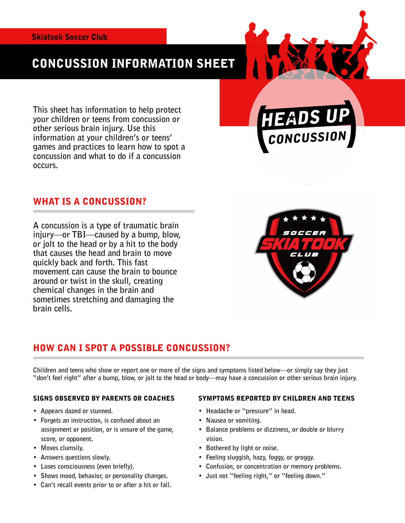# CONCUSSION INFORMATION SHEET

**This sheet has information to help protect your children or teens from concussion or other serious brain injury. Use this information at your children's or teens' games and practices to learn how to spot a concussion and what to do if a concussion occurs.** 

### WHAT IS A CONCUSSION?

**A concussion is a type of traumatic brain injury—or TBI—caused by a bump, blow, or jolt to the head or by a hit to the body that causes the head and brain to move quickly back and forth. This fast movement can cause the brain to bounce around or twist in the skull, creating chemical changes in the brain and sometimes stretching and damaging the brain cells.** 



### HOW CAN I SPOT A POSSIBLE CONCUSSION?

**Children and teens who show or report one or more of the signs and symptoms listed below—or simply say they just "don't feel right" after a bump, blow, or jolt to the head or body—may have a concussion or other serious brain injury.** 

#### SIGNS OBSERVED BY PARENTS OR COACHES

- **Appears dazed or stunned.**
- **Forgets an instruction, is confused about an assignment or position, or is unsure of the game, score, or opponent.**
- **Moves clumsily.**
- **Answers questions slowly.**
- **Loses consciousness (even briefly).**
- **Shows mood, behavior, or personality changes.**
- **Can't recall events prior to or after a hit or fall.**

#### SYMPTOMS REPORTED BY CHILDREN AND TEENS

- **Headache or "pressure" in head.**
- **Nausea or vomiting.**
- **Balance problems or dizziness, or double or blurry vision.**
- **Bothered by light or noise.**
- **Feeling sluggish, hazy, foggy, or groggy.**
- **Confusion, or concentration or memory problems.**
- **Just not "feeling right," or "feeling down."**